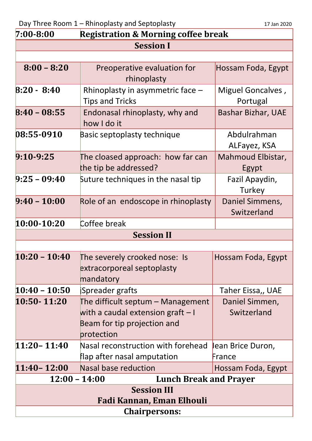Day Three Room 1 – Rhinoplasty and Septoplasty 17 Jan 2020

|  | 17 Jan 2020 |
|--|-------------|
|  |             |

| $7:00 - 8:00$<br><b>Registration &amp; Morning coffee break</b> |                                     |                                |  |  |
|-----------------------------------------------------------------|-------------------------------------|--------------------------------|--|--|
| <b>Session I</b>                                                |                                     |                                |  |  |
|                                                                 |                                     |                                |  |  |
| $8:00 - 8:20$                                                   | Preoperative evaluation for         | Hossam Foda, Egypt             |  |  |
|                                                                 | rhinoplasty                         |                                |  |  |
| $B:20 - 8:40$                                                   | Rhinoplasty in asymmetric face -    | Miguel Goncalves,              |  |  |
|                                                                 | <b>Tips and Tricks</b>              | Portugal                       |  |  |
| $8:40 - 08:55$                                                  | Endonasal rhinoplasty, why and      | <b>Bashar Bizhar, UAE</b>      |  |  |
|                                                                 | how I do it                         |                                |  |  |
| 08:55-0910                                                      | Basic septoplasty technique         | Abdulrahman                    |  |  |
|                                                                 |                                     | ALFayez, KSA                   |  |  |
| $9:10-9:25$                                                     | The cloased approach: how far can   | Mahmoud Elbistar,              |  |  |
|                                                                 | the tip be addressed?               | Egypt                          |  |  |
| $9:25 - 09:40$                                                  | Suture techniques in the nasal tip  | Fazil Apaydin,                 |  |  |
| $9:40 - 10:00$                                                  |                                     | Turkey                         |  |  |
|                                                                 | Role of an endoscope in rhinoplasty | Daniel Simmens,<br>Switzerland |  |  |
| 10:00-10:20                                                     | Coffee break                        |                                |  |  |
|                                                                 | <b>Session II</b>                   |                                |  |  |
|                                                                 |                                     |                                |  |  |
| $10:20 - 10:40$                                                 | The severely crooked nose: Is       | Hossam Foda, Egypt             |  |  |
|                                                                 | extracorporeal septoplasty          |                                |  |  |
|                                                                 | mandatory                           |                                |  |  |
| $10:40 - 10:50$                                                 | Spreader grafts                     | Taher Eissa,, UAE              |  |  |
| 10:50-11:20                                                     | The difficult septum - Management   | Daniel Simmen,                 |  |  |
|                                                                 | with a caudal extension graft $-1$  | Switzerland                    |  |  |
|                                                                 | Beam for tip projection and         |                                |  |  |
|                                                                 | protection                          |                                |  |  |
| $11:20 - 11:40$                                                 | Nasal reconstruction with forehead  | Jean Brice Duron,              |  |  |
|                                                                 | flap after nasal amputation         | France                         |  |  |
| $11:40 - 12:00$                                                 | <b>Nasal base reduction</b>         | Hossam Foda, Egypt             |  |  |
| $12:00 - 14:00$<br><b>Lunch Break and Prayer</b>                |                                     |                                |  |  |
| <b>Session III</b>                                              |                                     |                                |  |  |
| Fadi Kannan, Eman Elhouli                                       |                                     |                                |  |  |
| <b>Chairpersons:</b>                                            |                                     |                                |  |  |